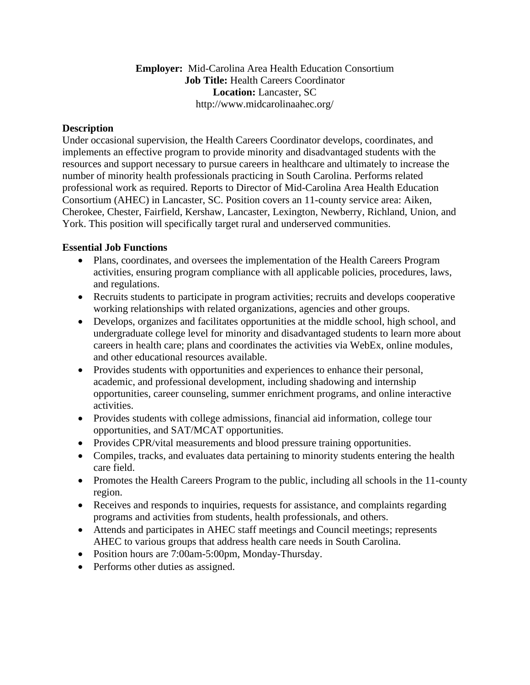# **Employer:** Mid-Carolina Area Health Education Consortium **Job Title:** Health Careers Coordinator **Location:** Lancaster, SC http://www.midcarolinaahec.org/

# **Description**

Under occasional supervision, the Health Careers Coordinator develops, coordinates, and implements an effective program to provide minority and disadvantaged students with the resources and support necessary to pursue careers in healthcare and ultimately to increase the number of minority health professionals practicing in South Carolina. Performs related professional work as required. Reports to Director of Mid-Carolina Area Health Education Consortium (AHEC) in Lancaster, SC. Position covers an 11-county service area: Aiken, Cherokee, Chester, Fairfield, Kershaw, Lancaster, Lexington, Newberry, Richland, Union, and York. This position will specifically target rural and underserved communities.

### **Essential Job Functions**

- Plans, coordinates, and oversees the implementation of the Health Careers Program activities, ensuring program compliance with all applicable policies, procedures, laws, and regulations.
- Recruits students to participate in program activities; recruits and develops cooperative working relationships with related organizations, agencies and other groups.
- Develops, organizes and facilitates opportunities at the middle school, high school, and undergraduate college level for minority and disadvantaged students to learn more about careers in health care; plans and coordinates the activities via WebEx, online modules, and other educational resources available.
- Provides students with opportunities and experiences to enhance their personal, academic, and professional development, including shadowing and internship opportunities, career counseling, summer enrichment programs, and online interactive activities.
- Provides students with college admissions, financial aid information, college tour opportunities, and SAT/MCAT opportunities.
- Provides CPR/vital measurements and blood pressure training opportunities.
- Compiles, tracks, and evaluates data pertaining to minority students entering the health care field.
- Promotes the Health Careers Program to the public, including all schools in the 11-county region.
- Receives and responds to inquiries, requests for assistance, and complaints regarding programs and activities from students, health professionals, and others.
- Attends and participates in AHEC staff meetings and Council meetings; represents AHEC to various groups that address health care needs in South Carolina.
- Position hours are 7:00am-5:00pm, Monday-Thursday.
- Performs other duties as assigned.